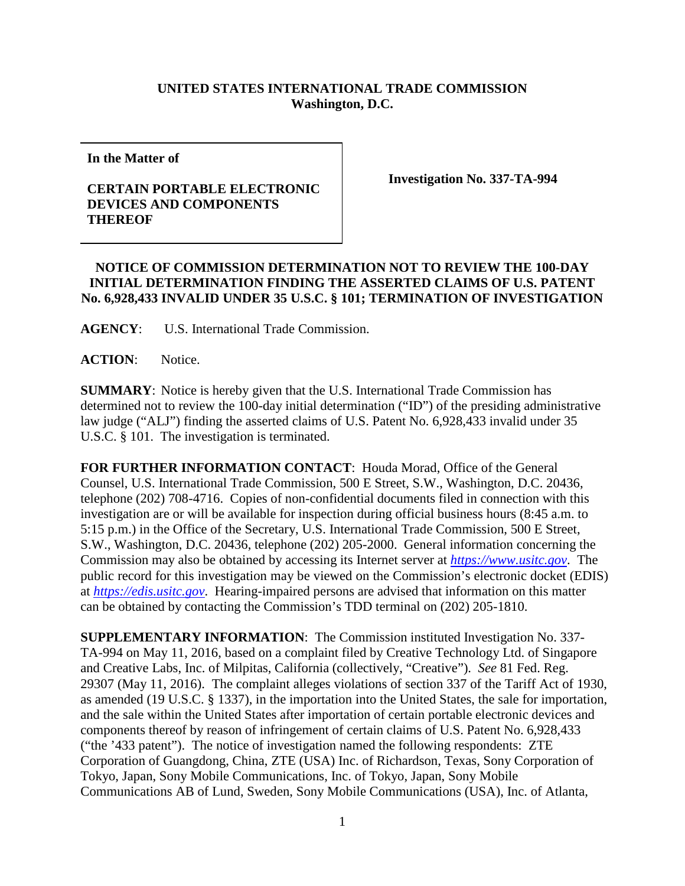## **UNITED STATES INTERNATIONAL TRADE COMMISSION Washington, D.C.**

**In the Matter of**

## **CERTAIN PORTABLE ELECTRONIC DEVICES AND COMPONENTS THEREOF**

**Investigation No. 337-TA-994**

## **NOTICE OF COMMISSION DETERMINATION NOT TO REVIEW THE 100-DAY INITIAL DETERMINATION FINDING THE ASSERTED CLAIMS OF U.S. PATENT No. 6,928,433 INVALID UNDER 35 U.S.C. § 101; TERMINATION OF INVESTIGATION**

**AGENCY**: U.S. International Trade Commission.

**ACTION**: Notice.

**SUMMARY**: Notice is hereby given that the U.S. International Trade Commission has determined not to review the 100-day initial determination ("ID") of the presiding administrative law judge ("ALJ") finding the asserted claims of U.S. Patent No. 6,928,433 invalid under 35 U.S.C. § 101. The investigation is terminated.

**FOR FURTHER INFORMATION CONTACT**: Houda Morad, Office of the General Counsel, U.S. International Trade Commission, 500 E Street, S.W., Washington, D.C. 20436, telephone (202) 708-4716. Copies of non-confidential documents filed in connection with this investigation are or will be available for inspection during official business hours (8:45 a.m. to 5:15 p.m.) in the Office of the Secretary, U.S. International Trade Commission, 500 E Street, S.W., Washington, D.C. 20436, telephone (202) 205-2000. General information concerning the Commission may also be obtained by accessing its Internet server at *[https://www.usitc.gov](https://www.usitc.gov/)*. The public record for this investigation may be viewed on the Commission's electronic docket (EDIS) at *[https://edis.usitc.gov](https://edis.usitc.gov/)*. Hearing-impaired persons are advised that information on this matter can be obtained by contacting the Commission's TDD terminal on (202) 205-1810.

**SUPPLEMENTARY INFORMATION**: The Commission instituted Investigation No. 337- TA-994 on May 11, 2016, based on a complaint filed by Creative Technology Ltd. of Singapore and Creative Labs, Inc. of Milpitas, California (collectively, "Creative"). *See* 81 Fed. Reg. 29307 (May 11, 2016). The complaint alleges violations of section 337 of the Tariff Act of 1930, as amended (19 U.S.C. § 1337), in the importation into the United States, the sale for importation, and the sale within the United States after importation of certain portable electronic devices and components thereof by reason of infringement of certain claims of U.S. Patent No. 6,928,433 ("the '433 patent"). The notice of investigation named the following respondents: ZTE Corporation of Guangdong, China, ZTE (USA) Inc. of Richardson, Texas, Sony Corporation of Tokyo, Japan, Sony Mobile Communications, Inc. of Tokyo, Japan, Sony Mobile Communications AB of Lund, Sweden, Sony Mobile Communications (USA), Inc. of Atlanta,